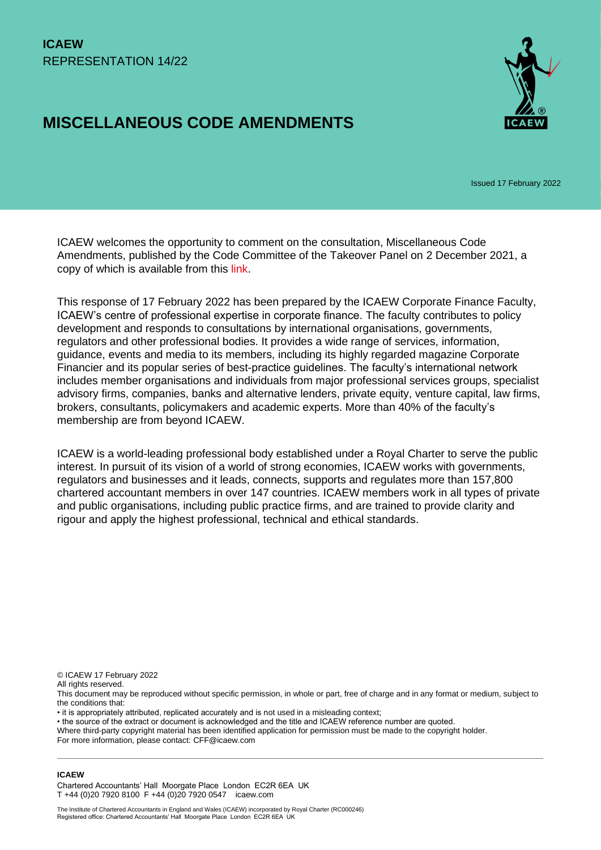# **MISCELLANEOUS CODE AMENDMENTS**



Issued 17 February 2022

ICAEW welcomes the opportunity to comment on the consultation, Miscellaneous Code Amendments, published by the Code Committee of the Takeover Panel on 2 December 2021, a copy of which is available from this [link.](https://www.thetakeoverpanel.org.uk/wp-content/uploads/2021/12/PCP-2021_1-Miscellaneous-Code-amendments.pdf)

This response of 17 February 2022 has been prepared by the ICAEW Corporate Finance Faculty, ICAEW's centre of professional expertise in corporate finance. The faculty contributes to policy development and responds to consultations by international organisations, governments, regulators and other professional bodies. It provides a wide range of services, information, guidance, events and media to its members, including its highly regarded magazine Corporate Financier and its popular series of best-practice guidelines. The faculty's international network includes member organisations and individuals from major professional services groups, specialist advisory firms, companies, banks and alternative lenders, private equity, venture capital, law firms, brokers, consultants, policymakers and academic experts. More than 40% of the faculty's membership are from beyond ICAEW.

ICAEW is a world-leading professional body established under a Royal Charter to serve the public interest. In pursuit of its vision of a world of strong economies, ICAEW works with governments, regulators and businesses and it leads, connects, supports and regulates more than 157,800 chartered accountant members in over 147 countries. ICAEW members work in all types of private and public organisations, including public practice firms, and are trained to provide clarity and rigour and apply the highest professional, technical and ethical standards.

© ICAEW 17 February 2022

All rights reserved.

This document may be reproduced without specific permission, in whole or part, free of charge and in any format or medium, subject to the conditions that:

• it is appropriately attributed, replicated accurately and is not used in a misleading context;

• the source of the extract or document is acknowledged and the title and ICAEW reference number are quoted.

Where third-party copyright material has been identified application for permission must be made to the copyright holder. For more information, please contact: CFF@icaew.com

#### **ICAEW**

Chartered Accountants' Hall Moorgate Place London EC2R 6EA UK T +44 (0)20 7920 8100 F +44 (0)20 7920 0547 icaew.com